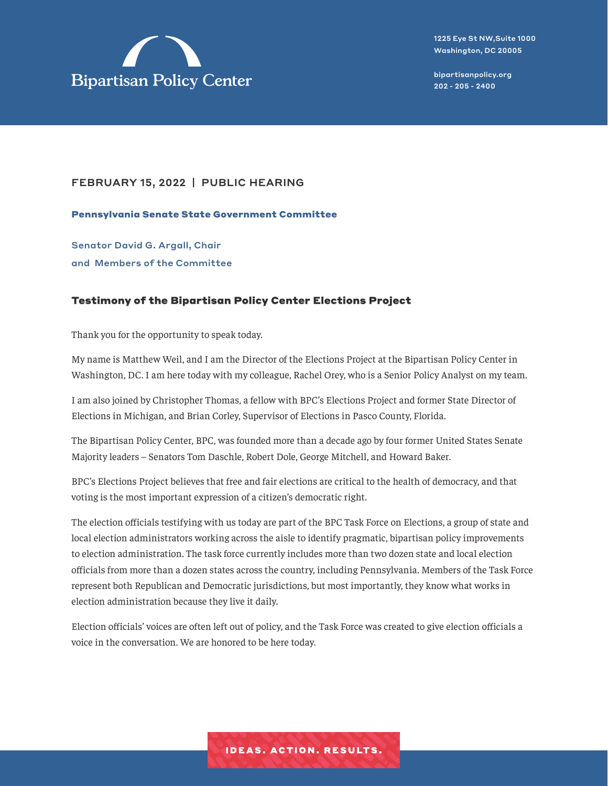

### FEBRUARY 15, 2022 | PUBLIC HEARING

Pennsylvania Senate State Government Committee

Senator David G. Argall, Chair and Members of the Committee

#### Testimony of the Bipartisan Policy Center Elections Project

Thank you for the opportunity to speak today.

My name is Matthew Weil, and I am the Director of the Elections Project at the Bipartisan Policy Center in Washington, DC. I am here today with my colleague, Rachel Orey, who is a Senior Policy Analyst on my team.

I am also joined by Christopher Thomas, a fellow with BPC's Elections Project and former State Director of Elections in Michigan, and Brian Corley, Supervisor of Elections in Pasco County, Florida.

The Bipartisan Policy Center, BPC, was founded more than a decade ago by four former United States Senate Majority leaders – Senators Tom Daschle, Robert Dole, George Mitchell, and Howard Baker.

BPC's Elections Project believes that free and fair elections are critical to the health of democracy, and that voting is the most important expression of a citizen's democratic right.

The election officials testifying with us today are part of the BPC Task Force on Elections, a group of state and local election administrators working across the aisle to identify pragmatic, bipartisan policy improvements to election administration. The task force currently includes more than two dozen state and local election officials from more than a dozen states across the country, including Pennsylvania. Members of the Task Force represent both Republican and Democratic jurisdictions, but most importantly, they know what works in election administration because they live it daily.

Election officials' voices are often left out of policy, and the Task Force was created to give election officials a voice in the conversation. We are honored to be here today.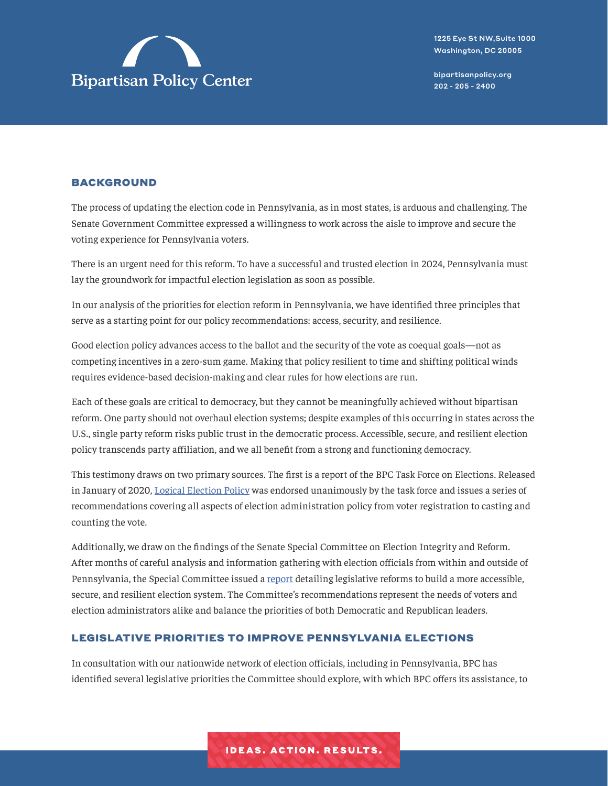

#### BACKGROUND

The process of updating the election code in Pennsylvania, as in most states, is arduous and challenging. The Senate Government Committee expressed a willingness to work across the aisle to improve and secure the voting experience for Pennsylvania voters.

There is an urgent need for this reform. To have a successful and trusted election in 2024, Pennsylvania must lay the groundwork for impactful election legislation as soon as possible.

In our analysis of the priorities for election reform in Pennsylvania, we have identified three principles that serve as a starting point for our policy recommendations: access, security, and resilience.

Good election policy advances access to the ballot and the security of the vote as coequal goals—not as competing incentives in a zero-sum game. Making that policy resilient to time and shifting political winds requires evidence-based decision-making and clear rules for how elections are run.

Each of these goals are critical to democracy, but they cannot be meaningfully achieved without bipartisan reform. One party should not overhaul election systems; despite examples of this occurring in states across the U.S., single party reform risks public trust in the democratic process. Accessible, secure, and resilient election policy transcends party affiliation, and we all benefit from a strong and functioning democracy.

This testimony draws on two primary sources. The first is a report of the BPC Task Force on Elections. Released in January of 2020, [Logical Election Policy](https://bipartisanpolicy.org/report/logical-election-policy/) was endorsed unanimously by the task force and issues a series of recommendations covering all aspects of election administration policy from voter registration to casting and counting the vote.

Additionally, we draw on the findings of the Senate Special Committee on Election Integrity and Reform. After months of careful analysis and information gathering with election officials from within and outside of Pennsylvania, the Special Committee issued a [report](https://pasenelectioncommittee.com/wp-content/uploads/sites/106/2021/06/election-integrity-report-final.pdf) detailing legislative reforms to build a more accessible, secure, and resilient election system. The Committee's recommendations represent the needs of voters and election administrators alike and balance the priorities of both Democratic and Republican leaders.

#### LEGISLATIVE PRIORITIES TO IMPROVE PENNSYLVANIA ELECTIONS

In consultation with our nationwide network of election officials, including in Pennsylvania, BPC has identified several legislative priorities the Committee should explore, with which BPC offers its assistance, to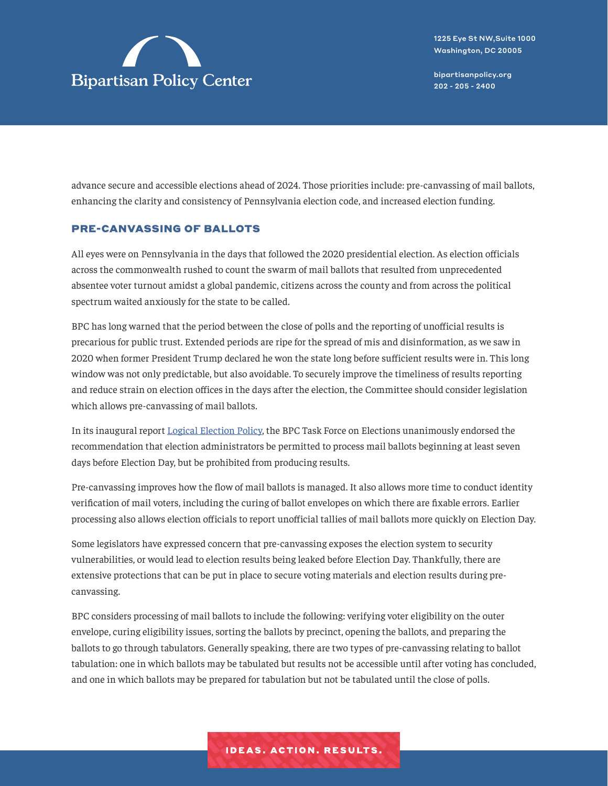

advance secure and accessible elections ahead of 2024. Those priorities include: pre-canvassing of mail ballots, enhancing the clarity and consistency of Pennsylvania election code, and increased election funding.

### PRE-CANVASSING OF BALLOTS

All eyes were on Pennsylvania in the days that followed the 2020 presidential election. As election officials across the commonwealth rushed to count the swarm of mail ballots that resulted from unprecedented absentee voter turnout amidst a global pandemic, citizens across the county and from across the political spectrum waited anxiously for the state to be called.

BPC has long warned that the period between the close of polls and the reporting of unofficial results is precarious for public trust. Extended periods are ripe for the spread of mis and disinformation, as we saw in 2020 when former President Trump declared he won the state long before sufficient results were in. This long window was not only predictable, but also avoidable. To securely improve the timeliness of results reporting and reduce strain on election offices in the days after the election, the Committee should consider legislation which allows pre-canvassing of mail ballots.

In its inaugural report [Logical Election Policy](https://bipartisanpolicy.org/report/logical-election-policy/), the BPC Task Force on Elections unanimously endorsed the recommendation that election administrators be permitted to process mail ballots beginning at least seven days before Election Day, but be prohibited from producing results.

Pre-canvassing improves how the flow of mail ballots is managed. It also allows more time to conduct identity verification of mail voters, including the curing of ballot envelopes on which there are fixable errors. Earlier processing also allows election officials to report unofficial tallies of mail ballots more quickly on Election Day.

Some legislators have expressed concern that pre-canvassing exposes the election system to security vulnerabilities, or would lead to election results being leaked before Election Day. Thankfully, there are extensive protections that can be put in place to secure voting materials and election results during precanvassing.

BPC considers processing of mail ballots to include the following: verifying voter eligibility on the outer envelope, curing eligibility issues, sorting the ballots by precinct, opening the ballots, and preparing the ballots to go through tabulators. Generally speaking, there are two types of pre-canvassing relating to ballot tabulation: one in which ballots may be tabulated but results not be accessible until after voting has concluded, and one in which ballots may be prepared for tabulation but not be tabulated until the close of polls.

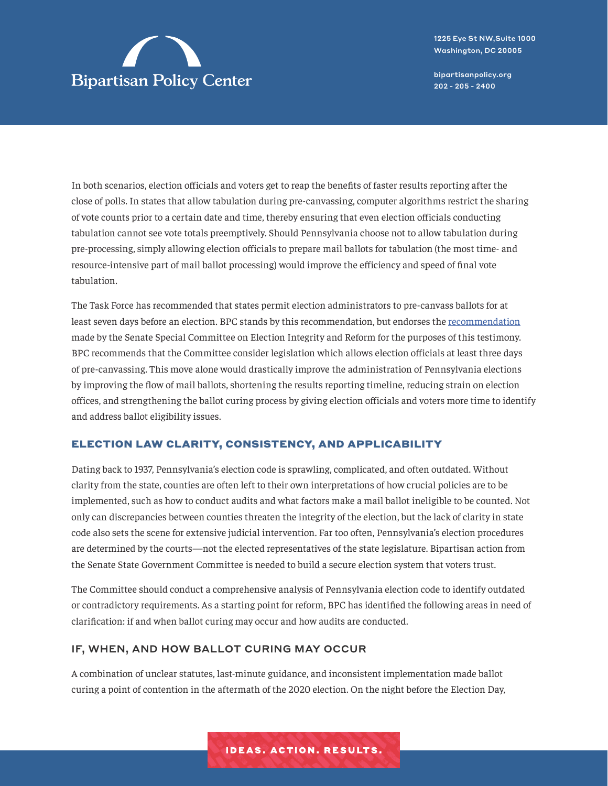

1225 Eye St NW,Suite 1000 Washington, DC 20005

[bipartisanpolicy.org](https://bipartisanpolicy.org/) 202 - 205 - 2400

In both scenarios, election officials and voters get to reap the benefits of faster results reporting after the close of polls. In states that allow tabulation during pre-canvassing, computer algorithms restrict the sharing of vote counts prior to a certain date and time, thereby ensuring that even election officials conducting tabulation cannot see vote totals preemptively. Should Pennsylvania choose not to allow tabulation during pre-processing, simply allowing election officials to prepare mail ballots for tabulation (the most time- and resource-intensive part of mail ballot processing) would improve the efficiency and speed of final vote tabulation.

The Task Force has recommended that states permit election administrators to pre-canvass ballots for at least seven days before an election. BPC stands by this recommendation, but endorses the [recommendation](https://pasenelectioncommittee.com/wp-content/uploads/sites/106/2021/06/election-integrity-report-final.pdf) made by the Senate Special Committee on Election Integrity and Reform for the purposes of this testimony. BPC recommends that the Committee consider legislation which allows election officials at least three days of pre-canvassing. This move alone would drastically improve the administration of Pennsylvania elections by improving the flow of mail ballots, shortening the results reporting timeline, reducing strain on election offices, and strengthening the ballot curing process by giving election officials and voters more time to identify and address ballot eligibility issues.

### ELECTION LAW CLARITY, CONSISTENCY, AND APPLICABILITY

Dating back to 1937, Pennsylvania's election code is sprawling, complicated, and often outdated. Without clarity from the state, counties are often left to their own interpretations of how crucial policies are to be implemented, such as how to conduct audits and what factors make a mail ballot ineligible to be counted. Not only can discrepancies between counties threaten the integrity of the election, but the lack of clarity in state code also sets the scene for extensive judicial intervention. Far too often, Pennsylvania's election procedures are determined by the courts—not the elected representatives of the state legislature. Bipartisan action from the Senate State Government Committee is needed to build a secure election system that voters trust.

The Committee should conduct a comprehensive analysis of Pennsylvania election code to identify outdated or contradictory requirements. As a starting point for reform, BPC has identified the following areas in need of clarification: if and when ballot curing may occur and how audits are conducted.

### IF, WHEN, AND HOW BALLOT CURING MAY OCCUR

A combination of unclear statutes, last-minute guidance, and inconsistent implementation made ballot curing a point of contention in the aftermath of the 2020 election. On the night before the Election Day,

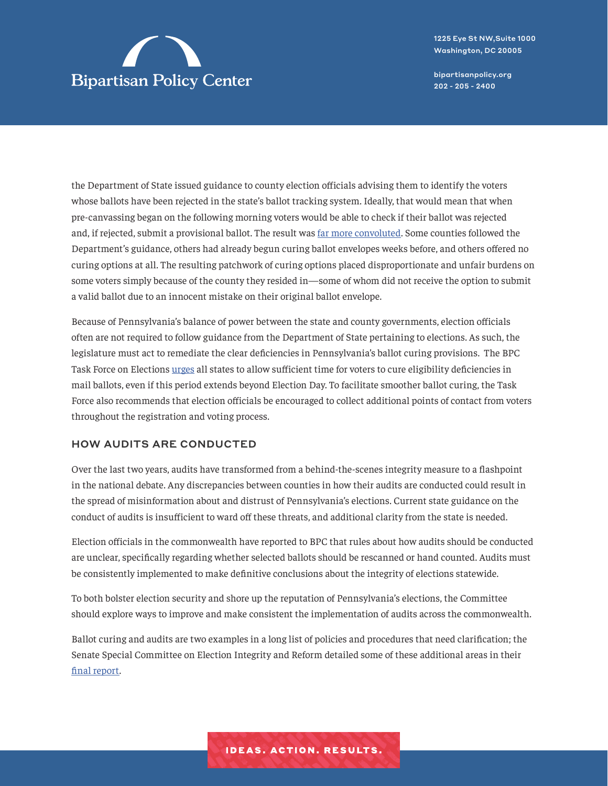

1225 Eye St NW,Suite 1000 Washington, DC 20005

[bipartisanpolicy.org](https://bipartisanpolicy.org/) 202 - 205 - 2400

the Department of State issued guidance to county election officials advising them to identify the voters whose ballots have been rejected in the state's ballot tracking system. Ideally, that would mean that when pre-canvassing began on the following morning voters would be able to check if their ballot was rejected and, if rejected, submit a provisional ballot. The result was [far more convoluted.](https://www.factcheck.org/2020/11/ballot-curing-in-pennsylvania/) Some counties followed the Department's guidance, others had already begun curing ballot envelopes weeks before, and others offered no curing options at all. The resulting patchwork of curing options placed disproportionate and unfair burdens on some voters simply because of the county they resided in—some of whom did not receive the option to submit a valid ballot due to an innocent mistake on their original ballot envelope.

Because of Pennsylvania's balance of power between the state and county governments, election officials often are not required to follow guidance from the Department of State pertaining to elections. As such, the legislature must act to remediate the clear deficiencies in Pennsylvania's ballot curing provisions. The BPC Task Force on Elections [urges](https://bipartisanpolicy.org/report/logical-election-policy/) all states to allow sufficient time for voters to cure eligibility deficiencies in mail ballots, even if this period extends beyond Election Day. To facilitate smoother ballot curing, the Task Force also recommends that election officials be encouraged to collect additional points of contact from voters throughout the registration and voting process.

### HOW AUDITS ARE CONDUCTED

Over the last two years, audits have transformed from a behind-the-scenes integrity measure to a flashpoint in the national debate. Any discrepancies between counties in how their audits are conducted could result in the spread of misinformation about and distrust of Pennsylvania's elections. Current state guidance on the conduct of audits is insufficient to ward off these threats, and additional clarity from the state is needed.

Election officials in the commonwealth have reported to BPC that rules about how audits should be conducted are unclear, specifically regarding whether selected ballots should be rescanned or hand counted. Audits must be consistently implemented to make definitive conclusions about the integrity of elections statewide.

To both bolster election security and shore up the reputation of Pennsylvania's elections, the Committee should explore ways to improve and make consistent the implementation of audits across the commonwealth.

Ballot curing and audits are two examples in a long list of policies and procedures that need clarification; the Senate Special Committee on Election Integrity and Reform detailed some of these additional areas in their [final report](https://pasenelectioncommittee.com/wp-content/uploads/sites/106/2021/06/election-integrity-report-final.pdf).

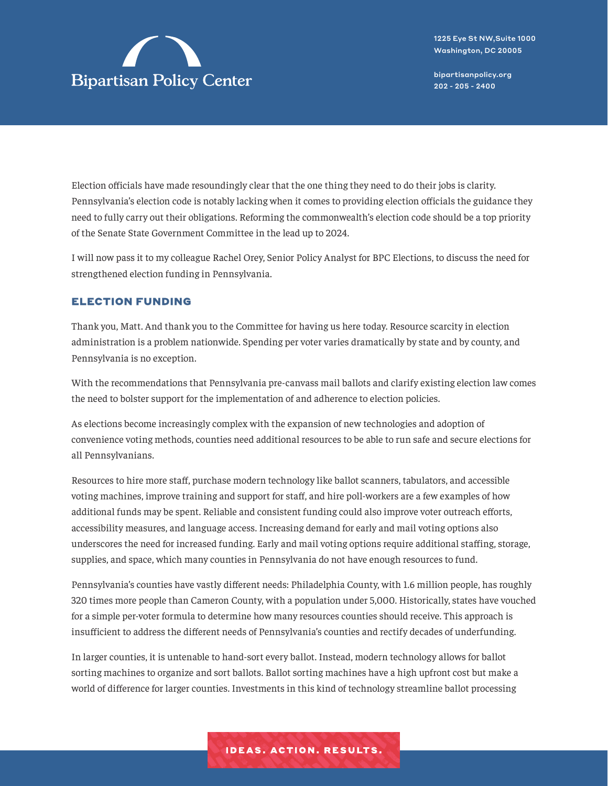

Election officials have made resoundingly clear that the one thing they need to do their jobs is clarity. Pennsylvania's election code is notably lacking when it comes to providing election officials the guidance they need to fully carry out their obligations. Reforming the commonwealth's election code should be a top priority of the Senate State Government Committee in the lead up to 2024.

I will now pass it to my colleague Rachel Orey, Senior Policy Analyst for BPC Elections, to discuss the need for strengthened election funding in Pennsylvania.

#### ELECTION FUNDING

Thank you, Matt. And thank you to the Committee for having us here today. Resource scarcity in election administration is a problem nationwide. Spending per voter varies dramatically by state and by county, and Pennsylvania is no exception.

With the recommendations that Pennsylvania pre-canvass mail ballots and clarify existing election law comes the need to bolster support for the implementation of and adherence to election policies.

As elections become increasingly complex with the expansion of new technologies and adoption of convenience voting methods, counties need additional resources to be able to run safe and secure elections for all Pennsylvanians.

Resources to hire more staff, purchase modern technology like ballot scanners, tabulators, and accessible voting machines, improve training and support for staff, and hire poll-workers are a few examples of how additional funds may be spent. Reliable and consistent funding could also improve voter outreach efforts, accessibility measures, and language access. Increasing demand for early and mail voting options also underscores the need for increased funding. Early and mail voting options require additional staffing, storage, supplies, and space, which many counties in Pennsylvania do not have enough resources to fund.

Pennsylvania's counties have vastly different needs: Philadelphia County, with 1.6 million people, has roughly 320 times more people than Cameron County, with a population under 5,000. Historically, states have vouched for a simple per-voter formula to determine how many resources counties should receive. This approach is insufficient to address the different needs of Pennsylvania's counties and rectify decades of underfunding.

In larger counties, it is untenable to hand-sort every ballot. Instead, modern technology allows for ballot sorting machines to organize and sort ballots. Ballot sorting machines have a high upfront cost but make a world of difference for larger counties. Investments in this kind of technology streamline ballot processing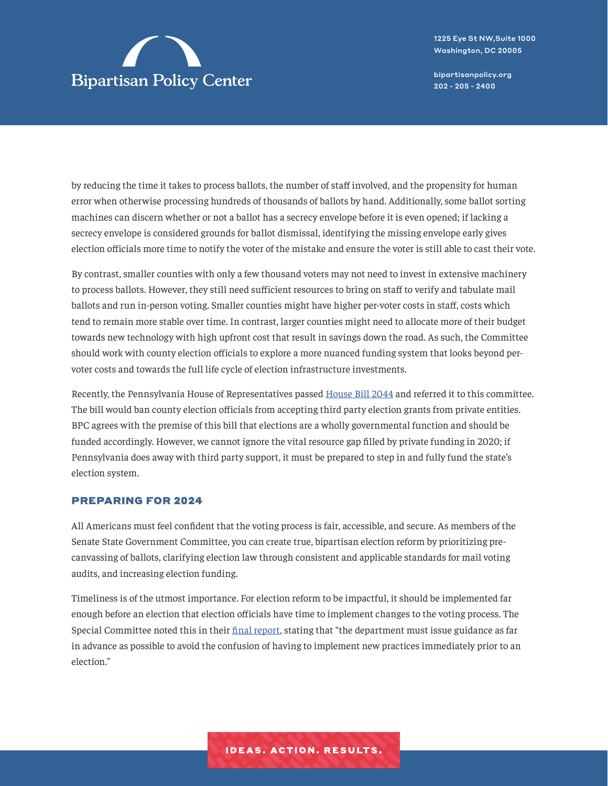

1225 Eye St NW,Suite 1000 Washington, DC 20005

[bipartisanpolicy.org](https://bipartisanpolicy.org/) 202 - 205 - 2400

by reducing the time it takes to process ballots, the number of staff involved, and the propensity for human error when otherwise processing hundreds of thousands of ballots by hand. Additionally, some ballot sorting machines can discern whether or not a ballot has a secrecy envelope before it is even opened; if lacking a secrecy envelope is considered grounds for ballot dismissal, identifying the missing envelope early gives election officials more time to notify the voter of the mistake and ensure the voter is still able to cast their vote.

By contrast, smaller counties with only a few thousand voters may not need to invest in extensive machinery to process ballots. However, they still need sufficient resources to bring on staff to verify and tabulate mail ballots and run in-person voting. Smaller counties might have higher per-voter costs in staff, costs which tend to remain more stable over time. In contrast, larger counties might need to allocate more of their budget towards new technology with high upfront cost that result in savings down the road. As such, the Committee should work with county election officials to explore a more nuanced funding system that looks beyond pervoter costs and towards the full life cycle of election infrastructure investments.

Recently, the Pennsylvania House of Representatives passed [House Bill 2044](https://www.legis.state.pa.us/cfdocs/billInfo/billInfo.cfm?sYear=2021&sInd=0&body=H&type=B&bn=2044) and referred it to this committee. The bill would ban county election officials from accepting third party election grants from private entities. BPC agrees with the premise of this bill that elections are a wholly governmental function and should be funded accordingly. However, we cannot ignore the vital resource gap filled by private funding in 2020; if Pennsylvania does away with third party support, it must be prepared to step in and fully fund the state's election system.

#### PREPARING FOR 2024

All Americans must feel confident that the voting process is fair, accessible, and secure. As members of the Senate State Government Committee, you can create true, bipartisan election reform by prioritizing precanvassing of ballots, clarifying election law through consistent and applicable standards for mail voting audits, and increasing election funding.

Timeliness is of the utmost importance. For election reform to be impactful, it should be implemented far enough before an election that election officials have time to implement changes to the voting process. The Special Committee noted this in their [final report](https://pasenelectioncommittee.com/wp-content/uploads/sites/106/2021/06/election-integrity-report-final.pdf), stating that "the department must issue guidance as far in advance as possible to avoid the confusion of having to implement new practices immediately prior to an election."

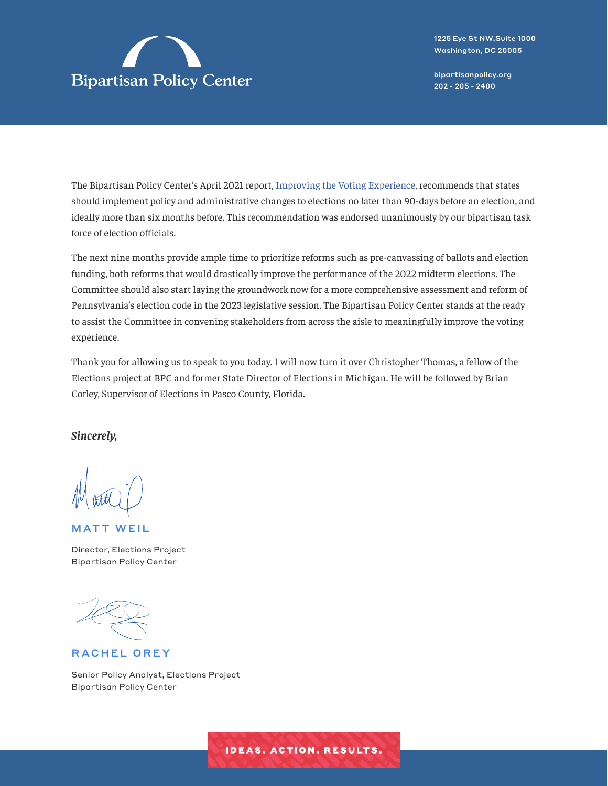

The Bipartisan Policy Center's April 2021 report, [Improving the Voting Experience](https://bipartisanpolicy.org/report/voting-experience-2020/), recommends that states should implement policy and administrative changes to elections no later than 90-days before an election, and ideally more than six months before. This recommendation was endorsed unanimously by our bipartisan task force of election officials.

The next nine months provide ample time to prioritize reforms such as pre-canvassing of ballots and election funding, both reforms that would drastically improve the performance of the 2022 midterm elections. The Committee should also start laying the groundwork now for a more comprehensive assessment and reform of Pennsylvania's election code in the 2023 legislative session. The Bipartisan Policy Center stands at the ready to assist the Committee in convening stakeholders from across the aisle to meaningfully improve the voting experience.

Thank you for allowing us to speak to you today. I will now turn it over Christopher Thomas, a fellow of the Elections project at BPC and former State Director of Elections in Michigan. He will be followed by Brian Corley, Supervisor of Elections in Pasco County, Florida.

*Sincerely,*

MATT WEIL

Director, Elections Project Bipartisan Policy Center

RACHEL OREY

Senior Policy Analyst, Elections Project Bipartisan Policy Center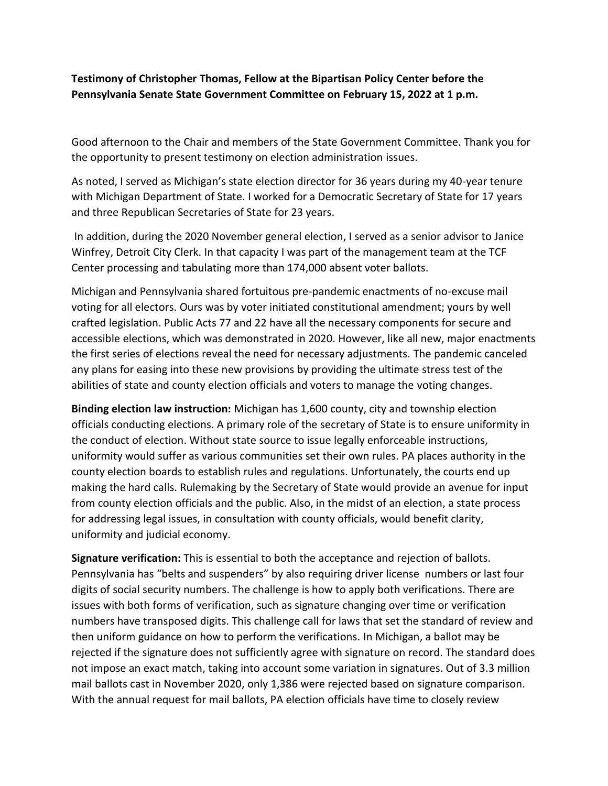# **Testimony of Christopher Thomas, Fellow at the Bipartisan Policy Center before the Pennsylvania Senate State Government Committee on February 15, 2022 at 1 p.m.**

Good afternoon to the Chair and members of the State Government Committee. Thank you for the opportunity to present testimony on election administration issues.

As noted, I served as Michigan's state election director for 36 years during my 40-year tenure with Michigan Department of State. I worked for a Democratic Secretary of State for 17 years and three Republican Secretaries of State for 23 years.

In addition, during the 2020 November general election, I served as a senior advisor to Janice Winfrey, Detroit City Clerk. In that capacity I was part of the management team at the TCF Center processing and tabulating more than 174,000 absent voter ballots.

Michigan and Pennsylvania shared fortuitous pre-pandemic enactments of no-excuse mail voting for all electors. Ours was by voter initiated constitutional amendment; yours by well crafted legislation. Public Acts 77 and 22 have all the necessary components for secure and accessible elections, which was demonstrated in 2020. However, like all new, major enactments the first series of elections reveal the need for necessary adjustments. The pandemic canceled any plans for easing into these new provisions by providing the ultimate stress test of the abilities of state and county election officials and voters to manage the voting changes.

**Binding election law instruction:** Michigan has 1,600 county, city and township election officials conducting elections. A primary role of the secretary of State is to ensure uniformity in the conduct of election. Without state source to issue legally enforceable instructions, uniformity would suffer as various communities set their own rules. PA places authority in the county election boards to establish rules and regulations. Unfortunately, the courts end up making the hard calls. Rulemaking by the Secretary of State would provide an avenue for input from county election officials and the public. Also, in the midst of an election, a state process for addressing legal issues, in consultation with county officials, would benefit clarity, uniformity and judicial economy.

**Signature verification:** This is essential to both the acceptance and rejection of ballots. Pennsylvania has "belts and suspenders" by also requiring driver license numbers or last four digits of social security numbers. The challenge is how to apply both verifications. There are issues with both forms of verification, such as signature changing over time or verification numbers have transposed digits. This challenge call for laws that set the standard of review and then uniform guidance on how to perform the verifications. In Michigan, a ballot may be rejected if the signature does not sufficiently agree with signature on record. The standard does not impose an exact match, taking into account some variation in signatures. Out of 3.3 million mail ballots cast in November 2020, only 1,386 were rejected based on signature comparison. With the annual request for mail ballots, PA election officials have time to closely review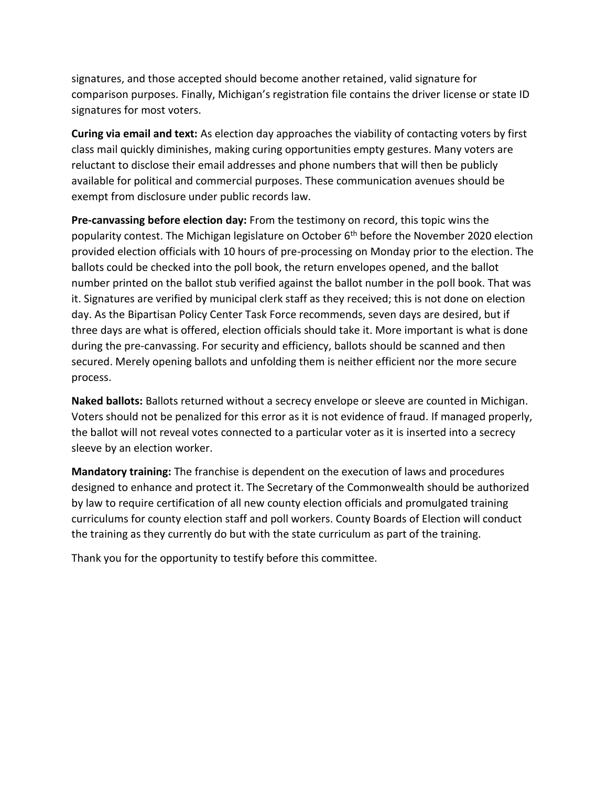signatures, and those accepted should become another retained, valid signature for comparison purposes. Finally, Michigan's registration file contains the driver license or state ID signatures for most voters.

**Curing via email and text:** As election day approaches the viability of contacting voters by first class mail quickly diminishes, making curing opportunities empty gestures. Many voters are reluctant to disclose their email addresses and phone numbers that will then be publicly available for political and commercial purposes. These communication avenues should be exempt from disclosure under public records law.

**Pre-canvassing before election day:** From the testimony on record, this topic wins the popularity contest. The Michigan legislature on October 6<sup>th</sup> before the November 2020 election provided election officials with 10 hours of pre-processing on Monday prior to the election. The ballots could be checked into the poll book, the return envelopes opened, and the ballot number printed on the ballot stub verified against the ballot number in the poll book. That was it. Signatures are verified by municipal clerk staff as they received; this is not done on election day. As the Bipartisan Policy Center Task Force recommends, seven days are desired, but if three days are what is offered, election officials should take it. More important is what is done during the pre-canvassing. For security and efficiency, ballots should be scanned and then secured. Merely opening ballots and unfolding them is neither efficient nor the more secure process.

**Naked ballots:** Ballots returned without a secrecy envelope or sleeve are counted in Michigan. Voters should not be penalized for this error as it is not evidence of fraud. If managed properly, the ballot will not reveal votes connected to a particular voter as it is inserted into a secrecy sleeve by an election worker.

**Mandatory training:** The franchise is dependent on the execution of laws and procedures designed to enhance and protect it. The Secretary of the Commonwealth should be authorized by law to require certification of all new county election officials and promulgated training curriculums for county election staff and poll workers. County Boards of Election will conduct the training as they currently do but with the state curriculum as part of the training.

Thank you for the opportunity to testify before this committee.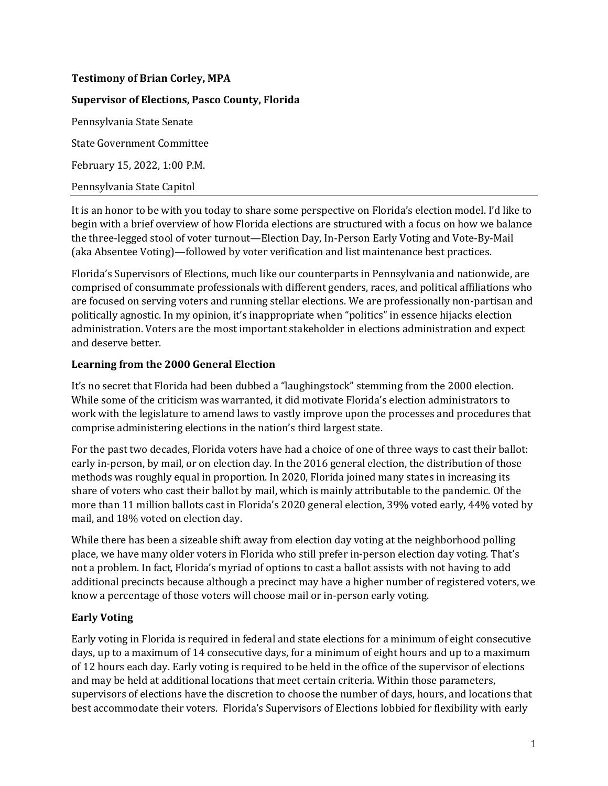### **Testimony of Brian Corley, MPA**

#### **Supervisor of Elections, Pasco County, Florida**

Pennsylvania State Senate State Government Committee February 15, 2022, 1:00 P.M. Pennsylvania State Capitol

It is an honor to be with you today to share some perspective on Florida's election model. I'd like to begin with a brief overview of how Florida elections are structured with a focus on how we balance the three-legged stool of voter turnout—Election Day, In-Person Early Voting and Vote-By-Mail (aka Absentee Voting)—followed by voter verification and list maintenance best practices.

Florida's Supervisors of Elections, much like our counterparts in Pennsylvania and nationwide, are comprised of consummate professionals with different genders, races, and political affiliations who are focused on serving voters and running stellar elections. We are professionally non-partisan and politically agnostic. In my opinion, it's inappropriate when "politics" in essence hijacks election administration. Voters are the most important stakeholder in elections administration and expect and deserve better.

#### **Learning from the 2000 General Election**

It's no secret that Florida had been dubbed a "laughingstock" stemming from the 2000 election. While some of the criticism was warranted, it did motivate Florida's election administrators to work with the legislature to amend laws to vastly improve upon the processes and procedures that comprise administering elections in the nation's third largest state.

For the past two decades, Florida voters have had a choice of one of three ways to cast their ballot: early in-person, by mail, or on election day. In the 2016 general election, the distribution of those methods was roughly equal in proportion. In 2020, Florida joined many states in increasing its share of voters who cast their ballot by mail, which is mainly attributable to the pandemic. Of the more than 11 million ballots cast in Florida's 2020 general election, 39% voted early, 44% voted by mail, and 18% voted on election day.

While there has been a sizeable shift away from election day voting at the neighborhood polling place, we have many older voters in Florida who still prefer in-person election day voting. That's not a problem. In fact, Florida's myriad of options to cast a ballot assists with not having to add additional precincts because although a precinct may have a higher number of registered voters, we know a percentage of those voters will choose mail or in-person early voting.

### **Early Voting**

Early voting in Florida is required in federal and state elections for a minimum of eight consecutive days, up to a maximum of 14 consecutive days, for a minimum of eight hours and up to a maximum of 12 hours each day. Early voting is required to be held in the office of the supervisor of elections and may be held at additional locations that meet certain criteria. Within those parameters, supervisors of elections have the discretion to choose the number of days, hours, and locations that best accommodate their voters. Florida's Supervisors of Elections lobbied for flexibility with early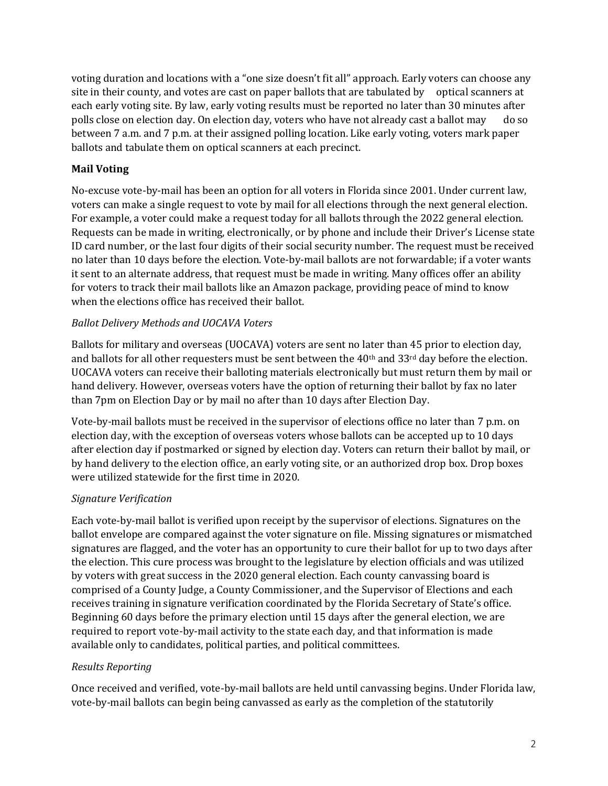voting duration and locations with a "one size doesn't fit all" approach. Early voters can choose any site in their county, and votes are cast on paper ballots that are tabulated by optical scanners at each early voting site. By law, early voting results must be reported no later than 30 minutes after polls close on election day. On election day, voters who have not already cast a ballot may do so between 7 a.m. and 7 p.m. at their assigned polling location. Like early voting, voters mark paper ballots and tabulate them on optical scanners at each precinct.

# **Mail Voting**

No-excuse vote-by-mail has been an option for all voters in Florida since 2001. Under current law, voters can make a single request to vote by mail for all elections through the next general election. For example, a voter could make a request today for all ballots through the 2022 general election. Requests can be made in writing, electronically, or by phone and include their Driver's License state ID card number, or the last four digits of their social security number. The request must be received no later than 10 days before the election. Vote-by-mail ballots are not forwardable; if a voter wants it sent to an alternate address, that request must be made in writing. Many offices offer an ability for voters to track their mail ballots like an Amazon package, providing peace of mind to know when the elections office has received their ballot.

# *Ballot Delivery Methods and UOCAVA Voters*

Ballots for military and overseas (UOCAVA) voters are sent no later than 45 prior to election day, and ballots for all other requesters must be sent between the 40th and 33rd day before the election. UOCAVA voters can receive their balloting materials electronically but must return them by mail or hand delivery. However, overseas voters have the option of returning their ballot by fax no later than 7pm on Election Day or by mail no after than 10 days after Election Day.

Vote-by-mail ballots must be received in the supervisor of elections office no later than 7 p.m. on election day, with the exception of overseas voters whose ballots can be accepted up to 10 days after election day if postmarked or signed by election day. Voters can return their ballot by mail, or by hand delivery to the election office, an early voting site, or an authorized drop box. Drop boxes were utilized statewide for the first time in 2020.

# *Signature Verification*

Each vote-by-mail ballot is verified upon receipt by the supervisor of elections. Signatures on the ballot envelope are compared against the voter signature on file. Missing signatures or mismatched signatures are flagged, and the voter has an opportunity to cure their ballot for up to two days after the election. This cure process was brought to the legislature by election officials and was utilized by voters with great success in the 2020 general election. Each county canvassing board is comprised of a County Judge, a County Commissioner, and the Supervisor of Elections and each receives training in signature verification coordinated by the Florida Secretary of State's office. Beginning 60 days before the primary election until 15 days after the general election, we are required to report vote-by-mail activity to the state each day, and that information is made available only to candidates, political parties, and political committees.

# *Results Reporting*

Once received and verified, vote-by-mail ballots are held until canvassing begins. Under Florida law, vote-by-mail ballots can begin being canvassed as early as the completion of the statutorily